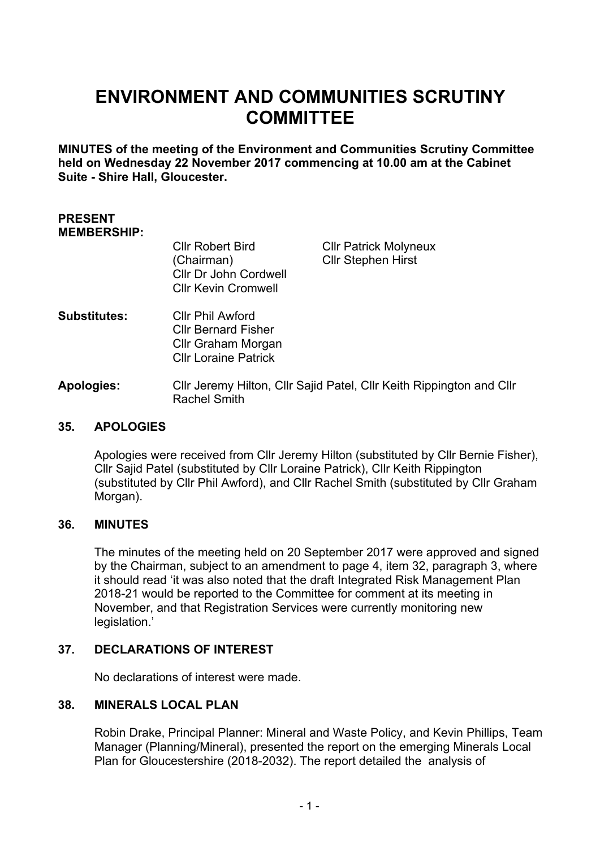# **ENVIRONMENT AND COMMUNITIES SCRUTINY COMMITTEE**

**MINUTES of the meeting of the Environment and Communities Scrutiny Committee held on Wednesday 22 November 2017 commencing at 10.00 am at the Cabinet Suite - Shire Hall, Gloucester.**

#### **PRESENT MEMBERSHIP:**

| <b>CIIr Robert Bird</b>    |
|----------------------------|
| (Chairman)                 |
| Cllr Dr John Cordwell      |
| <b>Cllr Kevin Cromwell</b> |
|                            |

Cllr Patrick Molyneux Cllr Stephen Hirst

- **Substitutes:** Cllr Phil Awford Cllr Bernard Fisher Cllr Graham Morgan Cllr Loraine Patrick
- **Apologies:** Cllr Jeremy Hilton, Cllr Sajid Patel, Cllr Keith Rippington and Cllr Rachel Smith

## **35. APOLOGIES**

Apologies were received from Cllr Jeremy Hilton (substituted by Cllr Bernie Fisher), Cllr Sajid Patel (substituted by Cllr Loraine Patrick), Cllr Keith Rippington (substituted by Cllr Phil Awford), and Cllr Rachel Smith (substituted by Cllr Graham Morgan).

## **36. MINUTES**

The minutes of the meeting held on 20 September 2017 were approved and signed by the Chairman, subject to an amendment to page 4, item 32, paragraph 3, where it should read 'it was also noted that the draft Integrated Risk Management Plan 2018-21 would be reported to the Committee for comment at its meeting in November, and that Registration Services were currently monitoring new legislation.'

## **37. DECLARATIONS OF INTEREST**

No declarations of interest were made.

## **38. MINERALS LOCAL PLAN**

Robin Drake, Principal Planner: Mineral and Waste Policy, and Kevin Phillips, Team Manager (Planning/Mineral), presented the report on the emerging Minerals Local Plan for Gloucestershire (2018-2032). The report detailed the analysis of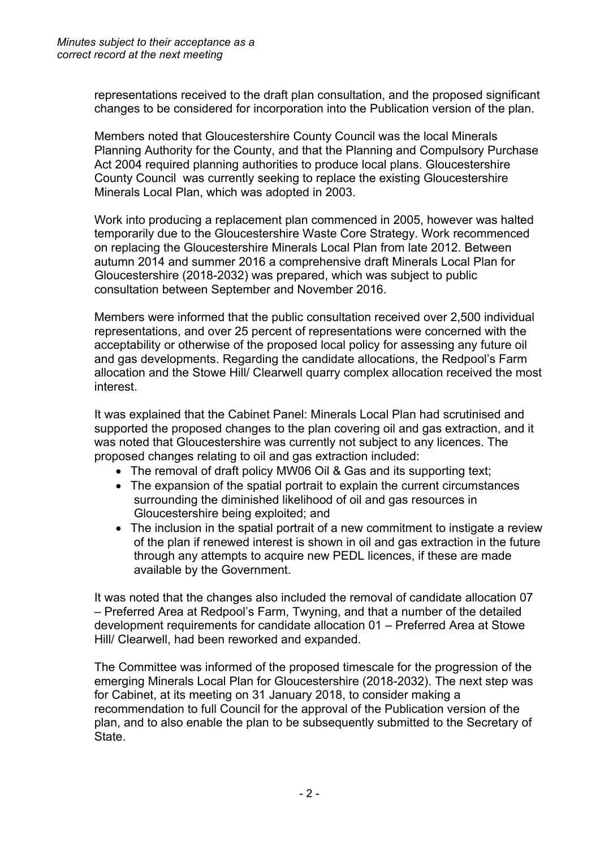representations received to the draft plan consultation, and the proposed significant changes to be considered for incorporation into the Publication version of the plan.

Members noted that Gloucestershire County Council was the local Minerals Planning Authority for the County, and that the Planning and Compulsory Purchase Act 2004 required planning authorities to produce local plans. Gloucestershire County Council was currently seeking to replace the existing Gloucestershire Minerals Local Plan, which was adopted in 2003.

Work into producing a replacement plan commenced in 2005, however was halted temporarily due to the Gloucestershire Waste Core Strategy. Work recommenced on replacing the Gloucestershire Minerals Local Plan from late 2012. Between autumn 2014 and summer 2016 a comprehensive draft Minerals Local Plan for Gloucestershire (2018-2032) was prepared, which was subject to public consultation between September and November 2016.

Members were informed that the public consultation received over 2,500 individual representations, and over 25 percent of representations were concerned with the acceptability or otherwise of the proposed local policy for assessing any future oil and gas developments. Regarding the candidate allocations, the Redpool's Farm allocation and the Stowe Hill/ Clearwell quarry complex allocation received the most interest.

It was explained that the Cabinet Panel: Minerals Local Plan had scrutinised and supported the proposed changes to the plan covering oil and gas extraction, and it was noted that Gloucestershire was currently not subject to any licences. The proposed changes relating to oil and gas extraction included:

- The removal of draft policy MW06 Oil & Gas and its supporting text;
- The expansion of the spatial portrait to explain the current circumstances surrounding the diminished likelihood of oil and gas resources in Gloucestershire being exploited; and
- The inclusion in the spatial portrait of a new commitment to instigate a review of the plan if renewed interest is shown in oil and gas extraction in the future through any attempts to acquire new PEDL licences, if these are made available by the Government.

It was noted that the changes also included the removal of candidate allocation 07 – Preferred Area at Redpool's Farm, Twyning, and that a number of the detailed development requirements for candidate allocation 01 – Preferred Area at Stowe Hill/ Clearwell, had been reworked and expanded.

The Committee was informed of the proposed timescale for the progression of the emerging Minerals Local Plan for Gloucestershire (2018-2032). The next step was for Cabinet, at its meeting on 31 January 2018, to consider making a recommendation to full Council for the approval of the Publication version of the plan, and to also enable the plan to be subsequently submitted to the Secretary of State.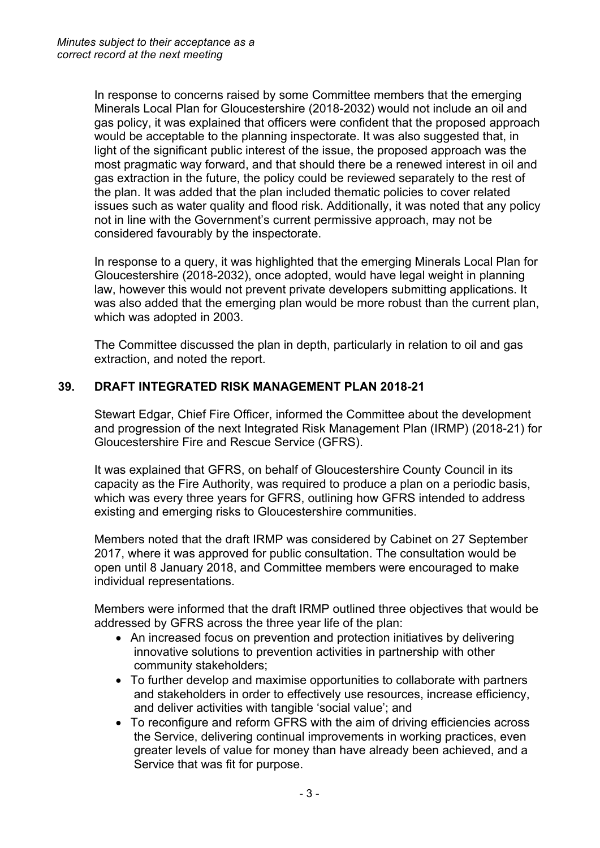In response to concerns raised by some Committee members that the emerging Minerals Local Plan for Gloucestershire (2018-2032) would not include an oil and gas policy, it was explained that officers were confident that the proposed approach would be acceptable to the planning inspectorate. It was also suggested that, in light of the significant public interest of the issue, the proposed approach was the most pragmatic way forward, and that should there be a renewed interest in oil and gas extraction in the future, the policy could be reviewed separately to the rest of the plan. It was added that the plan included thematic policies to cover related issues such as water quality and flood risk. Additionally, it was noted that any policy not in line with the Government's current permissive approach, may not be considered favourably by the inspectorate.

In response to a query, it was highlighted that the emerging Minerals Local Plan for Gloucestershire (2018-2032), once adopted, would have legal weight in planning law, however this would not prevent private developers submitting applications. It was also added that the emerging plan would be more robust than the current plan, which was adopted in 2003.

The Committee discussed the plan in depth, particularly in relation to oil and gas extraction, and noted the report.

### **39. DRAFT INTEGRATED RISK MANAGEMENT PLAN 2018-21**

Stewart Edgar, Chief Fire Officer, informed the Committee about the development and progression of the next Integrated Risk Management Plan (IRMP) (2018-21) for Gloucestershire Fire and Rescue Service (GFRS).

It was explained that GFRS, on behalf of Gloucestershire County Council in its capacity as the Fire Authority, was required to produce a plan on a periodic basis, which was every three years for GFRS, outlining how GFRS intended to address existing and emerging risks to Gloucestershire communities.

Members noted that the draft IRMP was considered by Cabinet on 27 September 2017, where it was approved for public consultation. The consultation would be open until 8 January 2018, and Committee members were encouraged to make individual representations.

Members were informed that the draft IRMP outlined three objectives that would be addressed by GFRS across the three year life of the plan:

- An increased focus on prevention and protection initiatives by delivering innovative solutions to prevention activities in partnership with other community stakeholders;
- To further develop and maximise opportunities to collaborate with partners and stakeholders in order to effectively use resources, increase efficiency, and deliver activities with tangible 'social value'; and
- To reconfigure and reform GFRS with the aim of driving efficiencies across the Service, delivering continual improvements in working practices, even greater levels of value for money than have already been achieved, and a Service that was fit for purpose.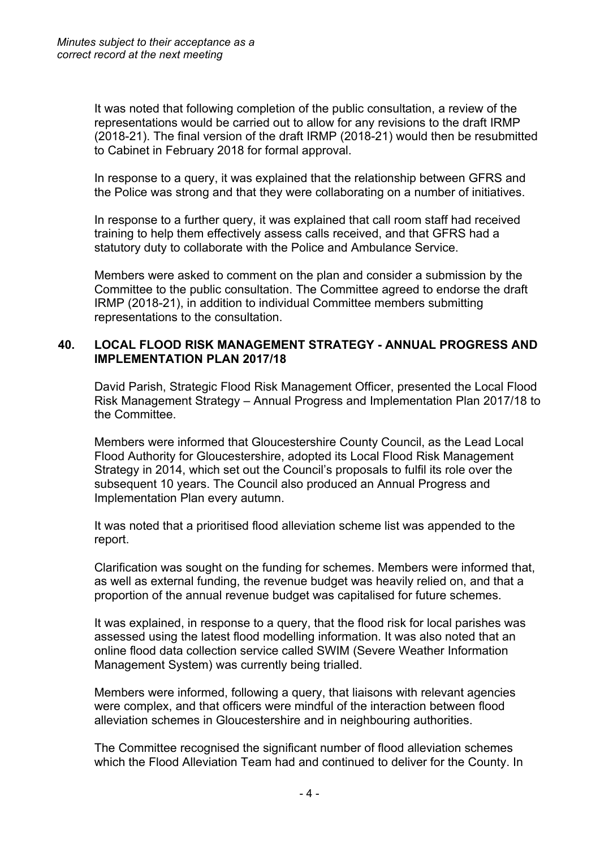It was noted that following completion of the public consultation, a review of the representations would be carried out to allow for any revisions to the draft IRMP (2018-21). The final version of the draft IRMP (2018-21) would then be resubmitted to Cabinet in February 2018 for formal approval.

In response to a query, it was explained that the relationship between GFRS and the Police was strong and that they were collaborating on a number of initiatives.

In response to a further query, it was explained that call room staff had received training to help them effectively assess calls received, and that GFRS had a statutory duty to collaborate with the Police and Ambulance Service.

Members were asked to comment on the plan and consider a submission by the Committee to the public consultation. The Committee agreed to endorse the draft IRMP (2018-21), in addition to individual Committee members submitting representations to the consultation.

### **40. LOCAL FLOOD RISK MANAGEMENT STRATEGY - ANNUAL PROGRESS AND IMPLEMENTATION PLAN 2017/18**

David Parish, Strategic Flood Risk Management Officer, presented the Local Flood Risk Management Strategy – Annual Progress and Implementation Plan 2017/18 to the Committee.

Members were informed that Gloucestershire County Council, as the Lead Local Flood Authority for Gloucestershire, adopted its Local Flood Risk Management Strategy in 2014, which set out the Council's proposals to fulfil its role over the subsequent 10 years. The Council also produced an Annual Progress and Implementation Plan every autumn.

It was noted that a prioritised flood alleviation scheme list was appended to the report.

Clarification was sought on the funding for schemes. Members were informed that, as well as external funding, the revenue budget was heavily relied on, and that a proportion of the annual revenue budget was capitalised for future schemes.

It was explained, in response to a query, that the flood risk for local parishes was assessed using the latest flood modelling information. It was also noted that an online flood data collection service called SWIM (Severe Weather Information Management System) was currently being trialled.

Members were informed, following a query, that liaisons with relevant agencies were complex, and that officers were mindful of the interaction between flood alleviation schemes in Gloucestershire and in neighbouring authorities.

The Committee recognised the significant number of flood alleviation schemes which the Flood Alleviation Team had and continued to deliver for the County. In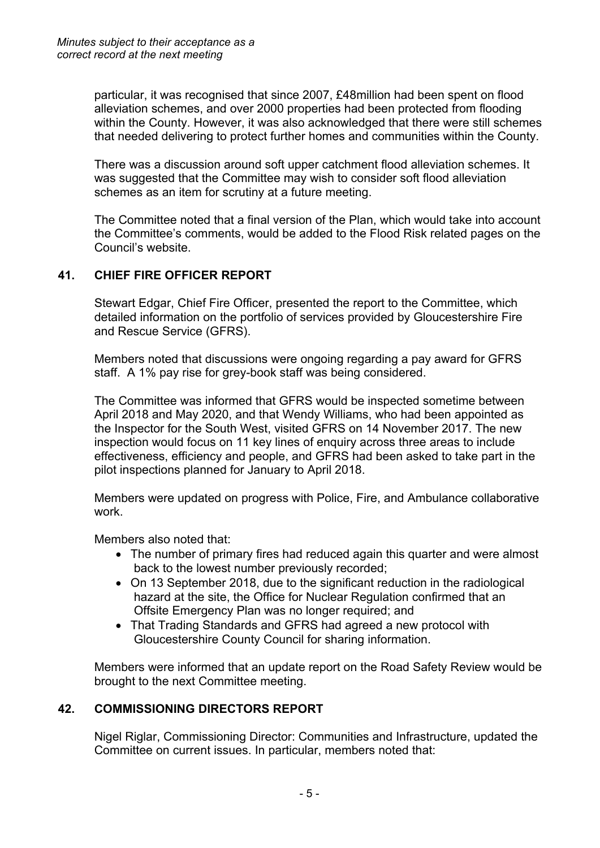particular, it was recognised that since 2007, £48million had been spent on flood alleviation schemes, and over 2000 properties had been protected from flooding within the County. However, it was also acknowledged that there were still schemes that needed delivering to protect further homes and communities within the County.

There was a discussion around soft upper catchment flood alleviation schemes. It was suggested that the Committee may wish to consider soft flood alleviation schemes as an item for scrutiny at a future meeting.

The Committee noted that a final version of the Plan, which would take into account the Committee's comments, would be added to the Flood Risk related pages on the Council's website.

## **41. CHIEF FIRE OFFICER REPORT**

Stewart Edgar, Chief Fire Officer, presented the report to the Committee, which detailed information on the portfolio of services provided by Gloucestershire Fire and Rescue Service (GFRS).

Members noted that discussions were ongoing regarding a pay award for GFRS staff. A 1% pay rise for grey-book staff was being considered.

The Committee was informed that GFRS would be inspected sometime between April 2018 and May 2020, and that Wendy Williams, who had been appointed as the Inspector for the South West, visited GFRS on 14 November 2017. The new inspection would focus on 11 key lines of enquiry across three areas to include effectiveness, efficiency and people, and GFRS had been asked to take part in the pilot inspections planned for January to April 2018.

Members were updated on progress with Police, Fire, and Ambulance collaborative work.

Members also noted that:

- The number of primary fires had reduced again this quarter and were almost back to the lowest number previously recorded;
- On 13 September 2018, due to the significant reduction in the radiological hazard at the site, the Office for Nuclear Regulation confirmed that an Offsite Emergency Plan was no longer required; and
- That Trading Standards and GFRS had agreed a new protocol with Gloucestershire County Council for sharing information.

Members were informed that an update report on the Road Safety Review would be brought to the next Committee meeting.

## **42. COMMISSIONING DIRECTORS REPORT**

Nigel Riglar, Commissioning Director: Communities and Infrastructure, updated the Committee on current issues. In particular, members noted that: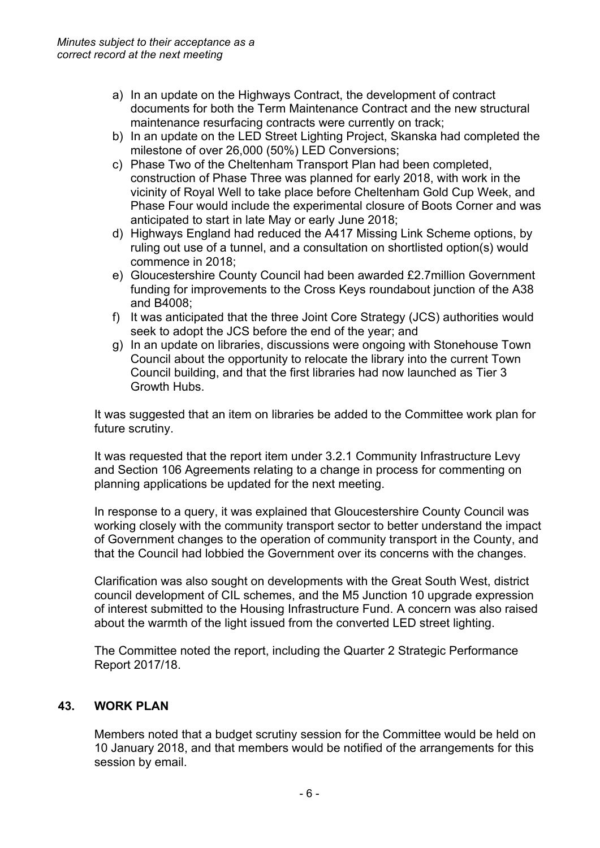- a) In an update on the Highways Contract, the development of contract documents for both the Term Maintenance Contract and the new structural maintenance resurfacing contracts were currently on track;
- b) In an update on the LED Street Lighting Project, Skanska had completed the milestone of over 26,000 (50%) LED Conversions;
- c) Phase Two of the Cheltenham Transport Plan had been completed, construction of Phase Three was planned for early 2018, with work in the vicinity of Royal Well to take place before Cheltenham Gold Cup Week, and Phase Four would include the experimental closure of Boots Corner and was anticipated to start in late May or early June 2018;
- d) Highways England had reduced the A417 Missing Link Scheme options, by ruling out use of a tunnel, and a consultation on shortlisted option(s) would commence in 2018;
- e) Gloucestershire County Council had been awarded £2.7million Government funding for improvements to the Cross Keys roundabout junction of the A38 and B4008;
- f) It was anticipated that the three Joint Core Strategy (JCS) authorities would seek to adopt the JCS before the end of the year; and
- g) In an update on libraries, discussions were ongoing with Stonehouse Town Council about the opportunity to relocate the library into the current Town Council building, and that the first libraries had now launched as Tier 3 Growth Hubs.

It was suggested that an item on libraries be added to the Committee work plan for future scrutiny.

It was requested that the report item under 3.2.1 Community Infrastructure Levy and Section 106 Agreements relating to a change in process for commenting on planning applications be updated for the next meeting.

In response to a query, it was explained that Gloucestershire County Council was working closely with the community transport sector to better understand the impact of Government changes to the operation of community transport in the County, and that the Council had lobbied the Government over its concerns with the changes.

Clarification was also sought on developments with the Great South West, district council development of CIL schemes, and the M5 Junction 10 upgrade expression of interest submitted to the Housing Infrastructure Fund. A concern was also raised about the warmth of the light issued from the converted LED street lighting.

The Committee noted the report, including the Quarter 2 Strategic Performance Report 2017/18.

## **43. WORK PLAN**

Members noted that a budget scrutiny session for the Committee would be held on 10 January 2018, and that members would be notified of the arrangements for this session by email.